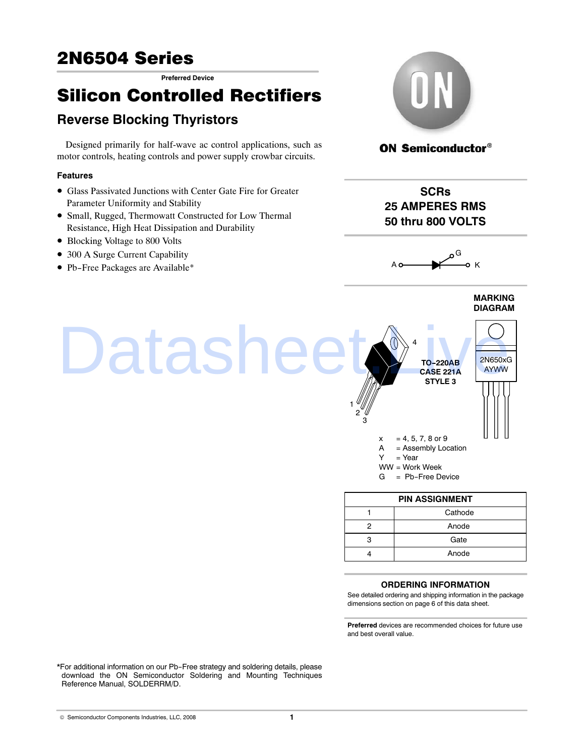**Preferred Device**

# Silicon Controlled Rectifiers

# **Reverse Blocking Thyristors**

Designed primarily for half‐wave ac control applications, such as motor controls, heating controls and power supply crowbar circuits.

### **Features**

- •Glass Passivated Junctions with Center Gate Fire for Greater Parameter Uniformity and Stability
- •Small, Rugged, Thermowatt Constructed for Low Thermal Resistance, High Heat Dissipation and Durability
- Blocking Voltage to 800 Volts
- 300 A Surge Current Capability
- •Pb-Free Packages are Available\*



## **ON Semiconductor®**

**SCRs 25 AMPERES RMS 50 thru 800 VOLTS**



**MARKING DIAGRAM**



- WW = Work Week
- G = Pb-Free Device

| <b>PIN ASSIGNMENT</b> |       |  |  |  |
|-----------------------|-------|--|--|--|
| Cathode               |       |  |  |  |
|                       | Anode |  |  |  |
|                       | Gate  |  |  |  |
|                       | Anode |  |  |  |

#### **ORDERING INFORMATION**

See detailed ordering and shipping information in the package dimensions section on page [6 of this data sheet.](#page-3-0)

**Preferred** devices are recommended choices for future use and best overall value.

\*For additional information on our Pb-Free strategy and soldering details, please download the ON Semiconductor Soldering and Mounting Techniques Reference Manual, SOLDERRM/D.

©- Semiconductor Components Industries, LLC, 2008 **1**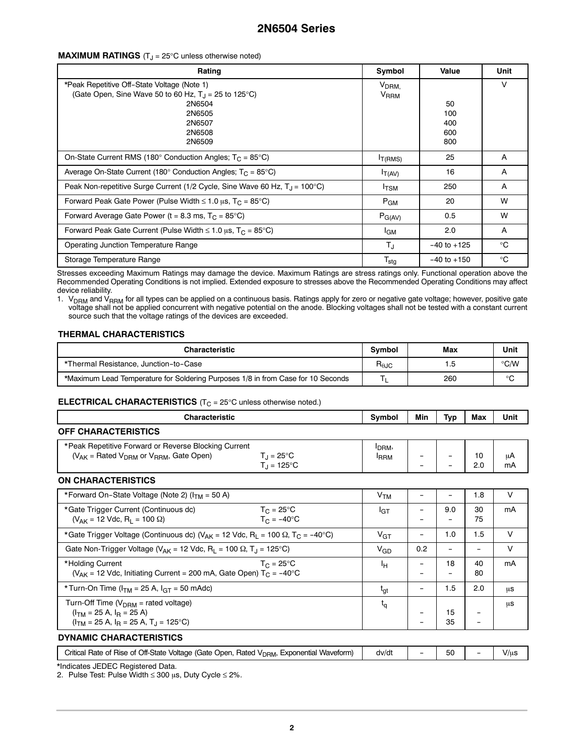#### **MAXIMUM RATINGS** (T<sub>J</sub> = 25°C unless otherwise noted)

| Rating                                                                                                                                                   | Symbol                                      | Value                          | Unit |
|----------------------------------------------------------------------------------------------------------------------------------------------------------|---------------------------------------------|--------------------------------|------|
| *Peak Repetitive Off-State Voltage (Note 1)<br>(Gate Open, Sine Wave 50 to 60 Hz, $T_J$ = 25 to 125°C)<br>2N6504<br>2N6505<br>2N6507<br>2N6508<br>2N6509 | V <sub>DRM.</sub><br><b>V<sub>RRM</sub></b> | 50<br>100<br>400<br>600<br>800 | V    |
| On-State Current RMS (180 $^{\circ}$ Conduction Angles; T <sub>C</sub> = 85 $^{\circ}$ C)                                                                | $I_{T(RMS)}$                                | 25                             | A    |
| Average On-State Current (180 $^{\circ}$ Conduction Angles; T <sub>C</sub> = 85 $^{\circ}$ C)                                                            | $I_{T(AV)}$                                 | 16                             | A    |
| Peak Non-repetitive Surge Current (1/2 Cycle, Sine Wave 60 Hz, $T_1 = 100^{\circ}$ C)                                                                    | $I_{\text{TSM}}$                            | 250                            | Α    |
| Forward Peak Gate Power (Pulse Width $\leq 1.0$ µs, $T_C = 85^{\circ}C$ )                                                                                | $P_{GM}$                                    | 20                             | W    |
| Forward Average Gate Power ( $t = 8.3$ ms, $T_C = 85^{\circ}C$ )                                                                                         | $P_{G(AV)}$                                 | 0.5                            | W    |
| Forward Peak Gate Current (Pulse Width $\leq 1.0$ µs, T <sub>C</sub> = 85°C)                                                                             | <b>I</b> GM                                 | 2.0                            | A    |
| Operating Junction Temperature Range                                                                                                                     | T,                                          | $-40$ to $+125$                | °C   |
| Storage Temperature Range                                                                                                                                | $T_{\text{stg}}$                            | $-40$ to $+150$                | °C   |

Stresses exceeding Maximum Ratings may damage the device. Maximum Ratings are stress ratings only. Functional operation above the Recommended Operating Conditions is not implied. Extended exposure to stresses above the Recommended Operating Conditions may affect device reliability.

1. V<sub>DRM</sub> and V<sub>RRM</sub> for all types can be applied on a continuous basis. Ratings apply for zero or negative gate voltage; however, positive gate voltage shall not be applied concurrent with negative potential on the anode. Blocking voltages shall not be tested with a constant current source such that the voltage ratings of the devices are exceeded.

#### **THERMAL CHARACTERISTICS**

| <b>Characteristic</b>                                                            |                                  | Max | Unit          |
|----------------------------------------------------------------------------------|----------------------------------|-----|---------------|
| *Thermal Resistance, Junction-to-Case                                            | $\mathsf{R}_{\theta\mathsf{JC}}$ |     | $\degree$ C/W |
| *Maximum Lead Temperature for Soldering Purposes 1/8 in from Case for 10 Seconds |                                  | 260 | $\circ$       |

#### **ELECTRICAL CHARACTERISTICS** (T<sub>C</sub> = 25°C unless otherwise noted.)

| <b>Characteristic</b>                                                                                                                                              | Symbol                            | Min | Typ                      | Max                      | Unit     |
|--------------------------------------------------------------------------------------------------------------------------------------------------------------------|-----------------------------------|-----|--------------------------|--------------------------|----------|
| <b>OFF CHARACTERISTICS</b>                                                                                                                                         |                                   |     |                          |                          |          |
| *Peak Repetitive Forward or Reverse Blocking Current<br>$(V_{AK}$ = Rated $V_{DBM}$ or $V_{BBM}$ , Gate Open)<br>$T_{\rm J} = 25^{\circ}$ C<br>$T_{\rm d}$ = 125°C | I <sub>DRM</sub> ,<br><b>IRRM</b> |     |                          | 10<br>2.0                | μA<br>mA |
| <b>ON CHARACTERISTICS</b>                                                                                                                                          |                                   |     |                          |                          |          |
| *Forward On-State Voltage (Note 2) (I <sub>TM</sub> = 50 A)                                                                                                        | V <sub>TM</sub>                   |     |                          | 1.8                      | $\vee$   |
| *Gate Trigger Current (Continuous dc)<br>$T_C = 25^{\circ}C$<br>$T_C = -40$ °C<br>$(V_{AK} = 12$ Vdc, R <sub>1</sub> = 100 $\Omega$ )                              | IGТ                               |     | 9.0                      | 30<br>75                 | mA       |
| *Gate Trigger Voltage (Continuous dc) ( $V_{AK}$ = 12 Vdc, R <sub>1</sub> = 100 $\Omega$ , T <sub>C</sub> = -40°C)                                                 | $V_{GT}$                          |     | 1.0                      | 1.5                      | $\vee$   |
| Gate Non-Trigger Voltage ( $V_{AK}$ = 12 Vdc, R <sub>1</sub> = 100 $\Omega$ , T <sub>1</sub> = 125 °C)                                                             | $V_{GD}$                          | 0.2 | $\overline{\phantom{a}}$ | -                        | $\vee$   |
| *Holding Current<br>$T_C = 25^{\circ}C$<br>( $V_{AK}$ = 12 Vdc, Initiating Current = 200 mA, Gate Open) $T_C$ = -40 <sup>o</sup> C                                 | Iн                                |     | 18<br>$\qquad \qquad -$  | 40<br>80                 | mA       |
| *Turn-On Time ( $I_{TM}$ = 25 A, $I_{GT}$ = 50 mAdc)                                                                                                               | $t_{gt}$                          |     | 1.5                      | 2.0                      | μS       |
| Turn-Off Time ( $V_{DRM}$ = rated voltage)<br>$(ITM = 25 A, IB = 25 A)$<br>$(ITM = 25 A, IB = 25 A, T1 = 125°C)$                                                   | $t_{\alpha}$                      |     | 15<br>35                 | $\overline{\phantom{0}}$ | μS       |
| <b>DYNAMIC CHARACTERISTICS</b>                                                                                                                                     |                                   |     |                          |                          |          |

| Off-State<br>∵ritical<br>Rated<br><sup>1</sup> (Gate Open.<br>Voltage<br>Exponential Waveform)<br>Rate<br>ot Hise<br>. ot<br><sup>4</sup> V <sub>DRM</sub> ,<br>. . | dv/dt | $\mathbf{r}$<br>ы<br>- - | V/u. |
|---------------------------------------------------------------------------------------------------------------------------------------------------------------------|-------|--------------------------|------|
| $- - - - -$                                                                                                                                                         |       |                          |      |

\*Indicates JEDEC Registered Data.

2. Pulse Test: Pulse Width ≤ 300  $\mu$ s, Duty Cycle ≤ 2%.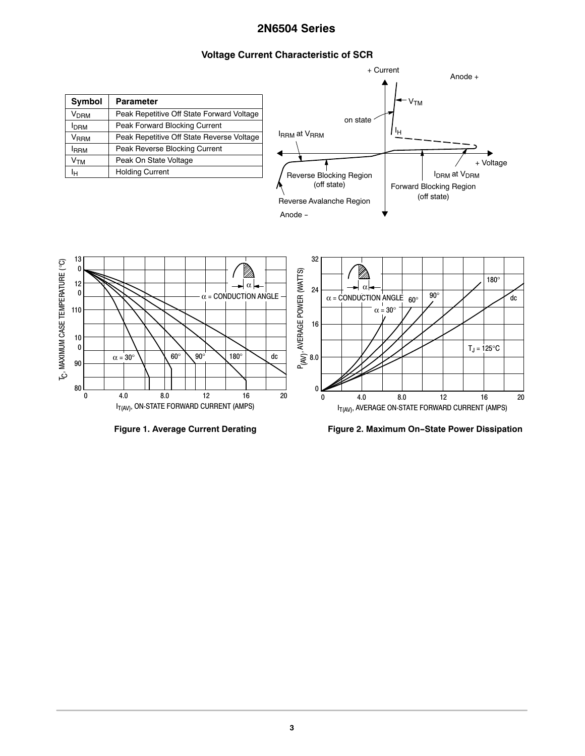+ Current

# **Voltage Current Characteristic of SCR**

|                                                                |                                                           | Anode +                                                                  |
|----------------------------------------------------------------|-----------------------------------------------------------|--------------------------------------------------------------------------|
| <b>Symbol</b>                                                  | <b>Parameter</b>                                          | $-VTM$                                                                   |
| <b>V<sub>DRM</sub></b>                                         | Peak Repetitive Off State Forward Voltage                 |                                                                          |
| <b>I</b> DRM                                                   | Peak Forward Blocking Current                             | on state                                                                 |
| $V_{RRM}$                                                      | Peak Repetitive Off State Reverse Voltage                 | ŀн<br><b>IRRM</b> at VRRM                                                |
| <b>IRRM</b>                                                    | Peak Reverse Blocking Current                             |                                                                          |
| V <sub>TM</sub>                                                | Peak On State Voltage                                     | + Voltage                                                                |
| Iн                                                             | <b>Holding Current</b>                                    | <b>IDRM</b> at V <sub>DRM</sub><br>Reverse Blocking Region               |
|                                                                |                                                           | (off state)<br>Forward Blocking Region                                   |
|                                                                |                                                           | (off state)                                                              |
|                                                                |                                                           | Reverse Avalanche Region                                                 |
|                                                                |                                                           | Anode -                                                                  |
|                                                                |                                                           |                                                                          |
|                                                                |                                                           |                                                                          |
| 13                                                             |                                                           | 32                                                                       |
| 0                                                              |                                                           |                                                                          |
| 12                                                             | → α ←                                                     | 180°<br>$\alpha$                                                         |
| T <sub>C</sub> , MAXIMUM CASE TEMPERATURE (°C)<br>$\mathbf{0}$ | $\alpha$ = CONDUCTION ANGLE -                             | 24<br>$90^\circ$<br>$\alpha$ = CONDUCTION ANGLE 60°<br>dc                |
| 110                                                            |                                                           | $\alpha = 30^{\circ}$                                                    |
|                                                                |                                                           |                                                                          |
|                                                                |                                                           | 16                                                                       |
| 10                                                             |                                                           |                                                                          |
| $\mathbf{0}$                                                   | $60^\circ$<br>$90^\circ$<br>180°<br>$\alpha$ = $30^\circ$ | P <sub>(AV)</sub> , AVERAGE POWER (WATTS)<br>$T_J = 125$ °C<br>dc<br>8.0 |
| 90                                                             |                                                           |                                                                          |
|                                                                |                                                           |                                                                          |
| 80                                                             |                                                           |                                                                          |
| $\mathbf{0}$                                                   | 8.0<br>12<br>4.0<br>16                                    | 20<br>4.0<br>8.0<br>12<br>16<br>20<br>0                                  |
|                                                                | I <sub>T(AV)</sub> , ON-STATE FORWARD CURRENT (AMPS)      | I <sub>T(AV)</sub> , AVERAGE ON-STATE FORWARD CURRENT (AMPS)             |

**Figure 1. Average Current Derating Figure 2. Maximum On-State Power Dissipation**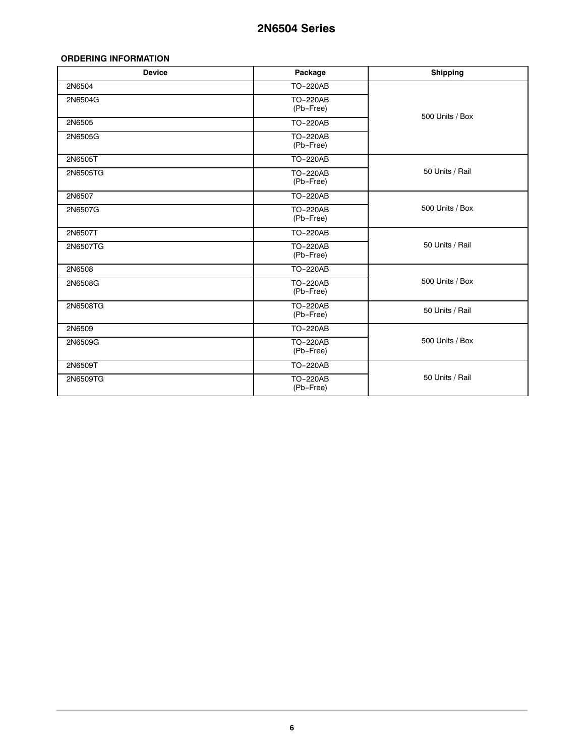#### <span id="page-3-0"></span>**ORDERING INFORMATION**

| <b>Device</b> | Package                      | <b>Shipping</b> |
|---------------|------------------------------|-----------------|
| 2N6504        | <b>TO-220AB</b>              |                 |
| 2N6504G       | <b>TO-220AB</b><br>(Pb-Free) | 500 Units / Box |
| 2N6505        | <b>TO-220AB</b>              |                 |
| 2N6505G       | TO-220AB<br>(Pb-Free)        |                 |
| 2N6505T       | TO-220AB                     |                 |
| 2N6505TG      | <b>TO-220AB</b><br>(Pb-Free) | 50 Units / Rail |
| 2N6507        | <b>TO-220AB</b>              |                 |
| 2N6507G       | <b>TO-220AB</b><br>(Pb-Free) | 500 Units / Box |
| 2N6507T       | TO-220AB                     |                 |
| 2N6507TG      | TO-220AB<br>(Pb-Free)        | 50 Units / Rail |
| 2N6508        | <b>TO-220AB</b>              |                 |
| 2N6508G       | <b>TO-220AB</b><br>(Pb-Free) | 500 Units / Box |
| 2N6508TG      | <b>TO-220AB</b><br>(Pb-Free) | 50 Units / Rail |
| 2N6509        | <b>TO-220AB</b>              |                 |
| 2N6509G       | TO-220AB<br>(Pb-Free)        | 500 Units / Box |
| 2N6509T       | TO-220AB                     |                 |
| 2N6509TG      | <b>TO-220AB</b><br>(Pb-Free) | 50 Units / Rail |